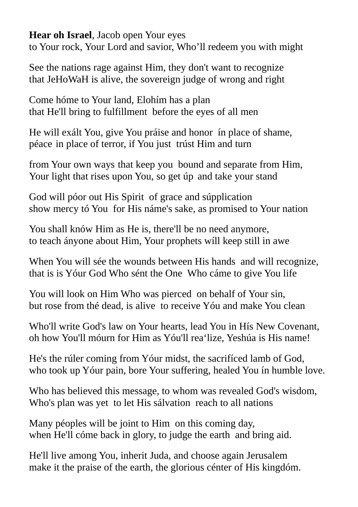## **Hear oh Israel**, Jacob open Your eyes

to Your rock, Your Lord and savior, Who'll redeem you with might

See the nations rage against Him, they don't want to recognize that JeHoWaH is alive, the sovereign judge of wrong and right

Come hóme to Your land, Elohím has a plan that He'll bring to fulfillment before the eyes of all men

He will exált You, give You práise and honor ín place of shame, péace in place of terror, if You just trúst Him and turn

from Your own ways that keep you bound and separate from Him, Your light that rises upon You, so get úp and take your stand

God will póor out His Spirit of grace and súpplication show mercy tó You for His náme's sake, as promised to Your nation

You shall knów Him as He is, there'll be no need anymore, to teach ányone about Him, Your prophets wíll keep still in awe

When You will sée the wounds between His hands and will recognize, that is is Yóur God Who sént the One Who cáme to give You life

You will look on Him Who was pierced on behalf of Your sin, but rose from thé dead, is alive to receive Yóu and make You clean

Who'll write God's law on Your hearts, lead You in Hís New Covenant, oh how You'll móurn for Him as Yóu'll rea'lize, Yeshúa is His name!

He's the rúler coming from Yóur midst, the sacrifíced lamb of God, who took up Yóur pain, bore Your suffering, healed You ín humble love.

Who has believed this message, to whom was revealed God's wisdom, Who's plan was yet to let His sálvation reach to all nations

Many péoples will be joint to Him on this coming day, when He'll cóme back in glory, to judge the earth and bring aid.

He'll live among You, inherit Juda, and choose again Jerusalem make it the praise of the earth, the glorious cénter of His kingdóm.